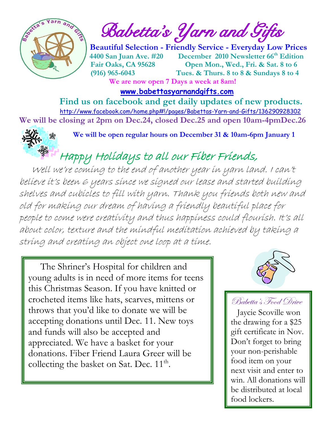

 $\int_{a}^{\frac{1}{2}} \mathbf{A} \mathbf{B}^{\frac{1}{2}}$  Babetta's Yarn and Gifts

 **Beautiful Selection - Friendly Service - Everyday Low Prices 14400 San Juan Ave. #20 December 2010 Newsletter 66<sup>th</sup> Edition Fair Oaks, CA 95628 Open Mon., Wed., Fri. & Sat. 8 to 6 (916) 965-6043 Tues. & Thurs. 8 to 8 & Sundays 8 to 4 We are now open 7 Days a week at 8am!** 

 **[www.babettasyarnandgifts.com](http://www.babettasyarnandgifts.com/)**

 **Find us on facebook and get daily updates of new products.**  <http://www.facebook.com/home.php#!/pages/Babettas-Yarn-and-Gifts/136290928302> **We will be closing at 2pm on Dec.24, closed Dec.25 and open 10am-4pmDec.26**



**We will be open regular hours on December 31 & 10am-6pm January 1**

Happy Holidays to all our Fiber Friends,

 Well we're coming to the end of another year in yarn land. I can't believe it's been 6 years since we signed our lease and started building shelves and cubicles to fill with yarn. Thank you friends both new and old for making our dream of having a friendly beautiful place for people to come were creativity and thus happiness could flourish. It's all about color, texture and the mindful meditation achieved by taking a string and creating an object one loop at a time.

 The Shriner's Hospital for children and young adults is in need of more items for teens this Christmas Season. If you have knitted or crocheted items like hats, scarves, mittens or throws that you'd like to donate we will be accepting donations until Dec. 11. New toys and funds will also be accepted and appreciated. We have a basket for your donations. Fiber Friend Laura Greer will be collecting the basket on Sat. Dec.  $11^{\text{th}}$ .



## Babetta's Food Drive

 Jaycie Scoville won the drawing for a \$25 gift certificate in Nov. Don't forget to bring your non-perishable food item on your next visit and enter to win. All donations will be distributed at local food lockers.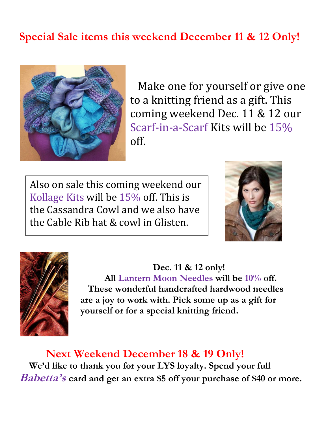# **Special Sale items this weekend December 11 & 12 Only!**



 Make one for yourself or give one to a knitting friend as a gift. This coming weekend Dec. 11 & 12 our Scarf-in-a-Scarf Kits will be 15% off.

Also on sale this coming weekend our Kollage Kits will be 15% off. This is the Cassandra Cowl and we also have the Cable Rib hat & cowl in Glisten.





 **Dec. 11 & 12 only! All Lantern Moon Needles will be 10% off. These wonderful handcrafted hardwood needles are a joy to work with. Pick some up as a gift for yourself or for a special knitting friend.**

 **Next Weekend December 18 & 19 Only! We'd like to thank you for your LYS loyalty. Spend your full Babetta'<sup>s</sup> card and get an extra \$5 off your purchase of \$40 or more.**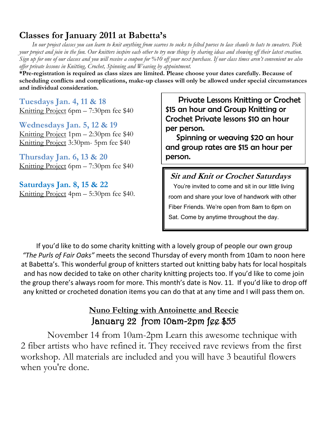## **Classes for January 2011 at Babetta's**

 *In our project classes you can learn to knit anything from scarves to socks to felted purses to lace shawls to hats to sweaters. Pick your project and join in the fun. Our knitters inspire each other to try new things by sharing ideas and showing off their latest creation. Sign up for one of our classes and you will receive a coupon for %10 off your next purchase. If our class times aren't convenient we also offer private lessons in Knitting, Crochet, Spinning and Weaving by appointment.*

**\*Pre-registration is required as class sizes are limited. Please choose your dates carefully. Because of scheduling conflicts and complications, make-up classes will only be allowed under special circumstances and individual consideration.**

**Tuesdays Jan. 4, 11 & 18** Knitting Project 6pm – 7:30pm fee \$40

**Wednesdays Jan. 5, 12 & 19** Knitting Project 1pm – 2:30pm fee \$40 Knitting Project 3:30pm- 5pm fee \$40

**Thursday Jan. 6, 13 & 20** Knitting Project 6pm – 7:30pm fee \$40

**Saturdays Jan. 8, 15 & 22** Knitting Project 4pm – 5:30pm fee \$40.

 Private Lessons Knitting or Crochet \$15 an hour and Group Knitting or Crochet Private lessons \$10 an hour per person.

 Spinning or weaving \$20 an hour and group rates are \$15 an hour per person.

#### **Sit and Knit or Crochet Saturdays**

 You're invited to come and sit in our little living room and share your love of handwork with other Fiber Friends. We're open from 8am to 6pm on Sat. Come by anytime throughout the day.

If you'd like to do some charity knitting with a lovely group of people our own group *"The Purls of Fair Oaks"* meets the second Thursday of every month from 10am to noon here at Babetta's. This wonderful group of knitters started out knitting baby hats for local hospitals and has now decided to take on other charity knitting projects too. If you'd like to come join the group there's always room for more. This month's date is Nov. 11. If you'd like to drop off any knitted or crocheted donation items you can do that at any time and I will pass them on.

#### **Nuno Felting with Antoinette and Reecie** January 22 from 10am-2pm fee \$55

 November 14 from 10am-2pm Learn this awesome technique with 2 fiber artists who have refined it. They received rave reviews from the first workshop. All materials are included and you will have 3 beautiful flowers when you're done.